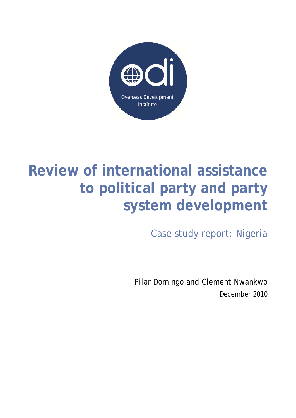

# **Review of international assistance to political party and party system development**

Case study report: Nigeria

Pilar Domingo and Clement Nwankwo December 2010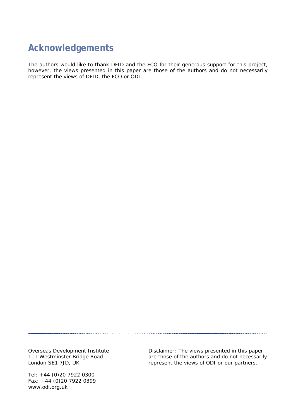## **Acknowledgements**

The authors would like to thank DFID and the FCO for their generous support for this project, however, the views presented in this paper are those of the authors and do not necessarily represent the views of DFID, the FCO or ODI.

Overseas Development Institute 111 Westminster Bridge Road London SE1 7JD, UK

Tel: +44 (0)20 7922 0300 Fax: +44 (0)20 7922 0399 www.odi.org.uk

Disclaimer: The views presented in this paper are those of the authors and do not necessarily represent the views of ODI or our partners.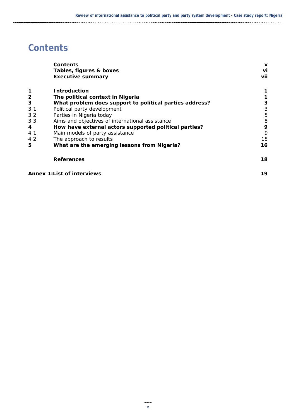## **Contents**

|                                                  | Contents                                                | v   |  |  |
|--------------------------------------------------|---------------------------------------------------------|-----|--|--|
|                                                  | Tables, figures & boxes                                 | vi  |  |  |
|                                                  | <b>Executive summary</b>                                | vii |  |  |
| 1                                                | <b>Introduction</b>                                     |     |  |  |
| $\mathbf{2}$                                     | The political context in Nigeria                        |     |  |  |
| 3                                                | What problem does support to political parties address? | 3   |  |  |
| 3.1                                              | Political party development                             | 3   |  |  |
| 3.2                                              | Parties in Nigeria today                                | 5   |  |  |
| 3.3                                              | Aims and objectives of international assistance         | 8   |  |  |
| 4                                                | How have external actors supported political parties?   | 9   |  |  |
| 4.1                                              | Main models of party assistance                         | 9   |  |  |
| 4.2                                              | The approach to results                                 |     |  |  |
| 5<br>What are the emerging lessons from Nigeria? |                                                         | 16  |  |  |
|                                                  | <b>References</b>                                       | 18  |  |  |
|                                                  | <b>Annex 1: List of interviews</b>                      | 19  |  |  |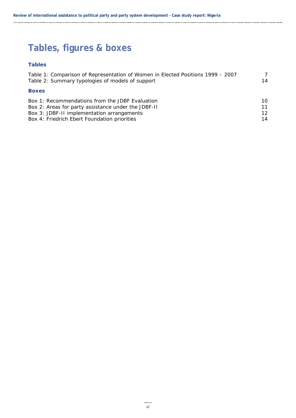# **Tables, figures & boxes**

### **Tables**

| Table 1: Comparison of Representation of Women in Elected Positions 1999 – 2007 | 7               |
|---------------------------------------------------------------------------------|-----------------|
| Table 2: Summary typologies of models of support                                | 14              |
| <b>Boxes</b>                                                                    |                 |
| Box 1: Recommendations from the JDBF Evaluation                                 | 10              |
| Box 2: Areas for party assistance under the JDBF-II                             | 11              |
| Box 3: JDBF-II implementation arrangements                                      | 12 <sub>1</sub> |
| Box 4: Friedrich Ebert Foundation priorities                                    | 14              |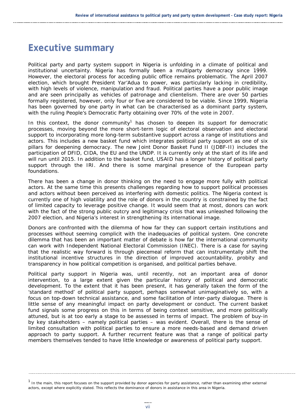## **Executive summary**

Political party and party system support in Nigeria is unfolding in a climate of political and institutional uncertainty. Nigeria has formally been a multiparty democracy since 1999. However, the electoral process for acceding public office remains problematic. The April 2007 election, which brought President Yar'Adua to power, was particularly lacking in credibility, with high levels of violence, manipulation and fraud. Political parties have a poor public image and are seen principally as vehicles of patronage and clientelism. There are over 50 parties formally registered, however, only four or five are considered to be viable. Since 1999, Nigeria has been governed by one party in what can be characterised as a dominant party system, with the ruling People's Democratic Party obtaining over 70% of the vote in 2007.

In this context, the donor community<sup>1</sup> has chosen to deepen its support for democratic processes, moving beyond the more short-term logic of electoral observation and electoral support to incorporating more long-term substantive support across a range of institutions and actors. This includes a new basket fund which integrates political party support as one of six pillars for deepening democracy. The new Joint Donor Basket Fund II (JDBF-II) includes the participation of DFID, CIDA, the EU and the UNDP. It is currently only at the start of its life and will run until 2015. In addition to the basket fund, USAID has a longer history of political party support through the IRI. And there is some marginal presence of the European party foundations.

There has been a change in donor thinking on the need to engage more fully with political actors. At the same time this presents challenges regarding how to support political processes and actors without been perceived as interfering with domestic politics. The Nigeria context is currently one of high volatility and the role of donors in the country is constrained by the fact of limited capacity to leverage positive change. It would seem that at most, donors can work with the fact of the strong public outcry and legitimacy crisis that was unleashed following the 2007 election, and Nigeria's interest in strengthening its international image.

Donors are confronted with the dilemma of how far they can support certain institutions and processes without seeming complicit with the inadequacies of political system. One concrete dilemma that has been an important matter of debate is how far the international community can work with Independent National Electoral Commission (INEC). There is a case for saying that the realistic way forward is through piecemeal reform that can instrumentally shift the institutional incentive structures in the direction of improved accountability, probity and transparency in how political competition is organised, and political parties behave.

Political party support in Nigeria was, until recently, not an important area of donor intervention, to a large extent given the particular history of political and democratic development. To the extent that it has been present, it has generally taken the form of the 'standard method' of political party support, perhaps somewhat unimaginatively so, with a focus on top-down technical assistance, and some facilitation of inter-party dialogue. There is little sense of any meaningful impact on party development or conduct. The current basket fund signals some progress on this in terms of being context sensitive, and more politically attuned, but is at too early a stage to be assessed in terms of impact. The problem of buy-in by key stakeholders – namely political parties – was evident. Overall, there is the sense of limited consultation with political parties to ensure a more needs-based and demand driven approach to party support. A further recurrent feature was that a range of political party members themselves tended to have little knowledge or awareness of political party support.

<sup>&</sup>lt;sup>1</sup> In the main, this report focuses on the support provided by donor agencies for party assistance, rather than examining other external actors, except where explicitly stated. This reflects the dominance of donors in assistance in this area in Nigeria.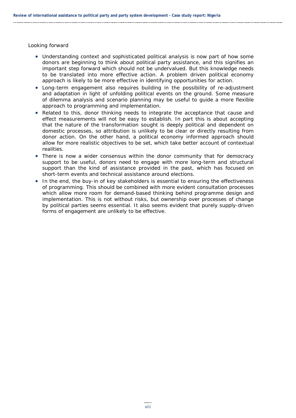Looking forward

- Understanding context and sophisticated political analysis is now part of how some donors are beginning to think about political party assistance, and this signifies an important step forward which should not be undervalued. But this knowledge needs to be translated into more effective action. A problem driven political economy approach is likely to be more effective in identifying opportunities for action.
- Long-term engagement also requires building in the possibility of re-adjustment and adaptation in light of unfolding political events on the ground. Some measure of dilemma analysis and scenario planning may be useful to guide a more flexible approach to programming and implementation.
- Related to this, donor thinking needs to integrate the acceptance that cause and effect measurements will not be easy to establish. In part this is about accepting that the nature of the transformation sought is deeply political and dependent on domestic processes, so attribution is unlikely to be clear or directly resulting from donor action. On the other hand, a political economy informed approach should allow for more realistic objectives to be set, which take better account of contextual realities.
- There is now a wider consensus within the donor community that for democracy support to be useful, donors need to engage with more long-term and structural support than the kind of assistance provided in the past, which has focused on short-term events and technical assistance around elections.
- In the end, the buy-in of key stakeholders is essential to ensuring the effectiveness of programming. This should be combined with more evident consultation processes which allow more room for demand-based thinking behind programme design and implementation. This is not without risks, but ownership over processes of change by political parties seems essential. It also seems evident that purely supply-driven forms of engagement are unlikely to be effective.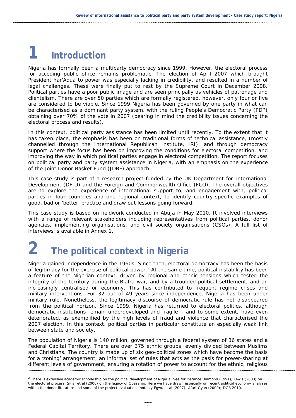# **1 Introduction**

Nigeria has formally been a multiparty democracy since 1999. However, the electoral process for acceding public office remains problematic. The election of April 2007 which brought President Yar'Adua to power was especially lacking in credibility, and resulted in a number of legal challenges. These were finally put to rest by the Supreme Court in December 2008. Political parties have a poor public image and are seen principally as vehicles of patronage and clientelism. There are over 50 parties which are formally registered, however, only four or five are considered to be viable. Since 1999 Nigeria has been governed by one party in what can be characterised as a dominant party system, with the ruling People's Democratic Party (PDP) obtaining over 70% of the vote in 2007 (bearing in mind the credibility issues concerning the electoral process and results).

In this context, political party assistance has been limited until recently. To the extent that it has taken place, the emphasis has been on traditional forms of technical assistance, (mostly channelled through the International Republican Institute, IRI), and through democracy support where the focus has been on improving the conditions for electoral competition, and improving the way in which political parties engage in electoral competition. The report focuses on political party and party system assistance in Nigeria, with an emphasis on the experience of the Joint Donor Basket Fund (JDBF) approach.

This case study is part of a research project funded by the UK Department for International Development (DFID) and the Foreign and Commonwealth Office (FCO). The overall objectives are to explore the experience of international support to, and engagement with, political parties in four countries and one regional context, to identify country-specific examples of good, bad or 'better' practice and draw out lessons going forward.

This case study is based on fieldwork conducted in Abuja in May 2010. It involved interviews with a range of relevant stakeholders including representatives from political parties, donor agencies, implementing organisations, and civil society organisations (CSOs). A full list of interviews is available in Annex 1.

# **2 The political context in Nigeria**

Nigeria gained independence in the 1960s. Since then, electoral democracy has been the basis of legitimacy for the exercise of political power.<sup>2</sup> At the same time, political instability has been a feature of the Nigerian context, driven by regional and ethnic tensions which tested the integrity of the territory during the Biafra war, and by a troubled political settlement, and an increasingly centralised oil economy. This has contributed to frequent regime crises and military interventions. For 32 out of 49 years since independence, Nigeria has been under military rule. Nonetheless, the legitimacy discourse of democratic rule has not disappeared from the political horizon. Since 1999, Nigeria has returned to electoral politics, although democratic institutions remain underdeveloped and fragile – and to some extent, have even deteriorated, as exemplified by the high levels of fraud and violence that characterised the 2007 election. In this context, political parties in particular constitute an especially weak link between state and society.

The population of Nigeria is 140 million, governed through a federal system of 36 states and a Federal Capital Territory. There are over 375 ethnic groups, evenly divided between Muslims and Christians. The country is made up of six geo-political zones which have become the basis for a 'zoning' arrangement, an informal set of rules that acts as the basis for power-sharing at different levels of government, ensuring a rotation of power to account for the ethnic, religious

<sup>&</sup>lt;sup>2</sup> There is extensive academic scholarship on the political development of Nigeria. See for instance Diamond (1991), Lewis (2003) on the electoral process, Sklar et al (2006) on the legacy of Obasanjo. Here we have drawn especially on recent political economy analyses within the donor literature and some of the project evaluations notably Egwu et al (2007); Afari-Gyan (2009); DGB 2010.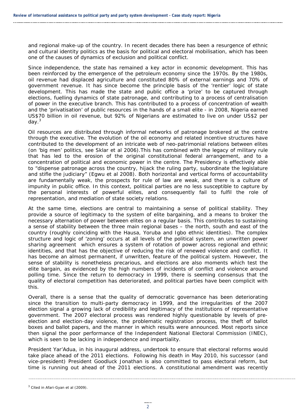and regional make-up of the country. In recent decades there has been a resurgence of ethnic and cultural identity politics as the basis for political and electoral mobilisation, which has been one of the causes of dynamics of exclusion and political conflict.

Since independence, the state has remained a key actor in economic development. This has been reinforced by the emergence of the petroleum economy since the 1970s. By the 1980s, oil revenue had displaced agriculture and constituted 80% of external earnings and 70% of government revenue. It has since become the principle basis of the 'rentier' logic of state development. This has made the state and public office a 'prize' to be captured through elections, fuelling dynamics of state patronage, and contributing to a process of centralisation of power in the executive branch. This has contributed to a process of concentration of wealth and the 'privatisation' of public resources in the hands of a small elite - in 2008, Nigeria earned US\$70 billion in oil revenue, but 92% of Nigerians are estimated to live on under US\$2 per day.3

Oil resources are distributed through informal networks of patronage brokered at the centre through the executive. The evolution of the oil economy and related incentive structures have contributed to the development of an intricate web of neo-patrimonial relations between elites (on 'big men' politics, see Sklar et al 2006).This has combined with the legacy of military rule that has led to the erosion of the original constitutional federal arrangement, and to a concentration of political and economic power in the centre. The Presidency is effectively able to "dispense patronage across the country, hijack the ruling party, subordinate the legislature and stifle the judiciary" (Egwu et al 2008). Both horizontal and vertical forms of accountability are fundamentally weak, the prospects for rule of law are weak, and there is a culture of impunity in public office. In this context, political parties are no less susceptible to capture by the personal interests of powerful elites, and consequently fail to fulfil the role of representation, and mediation of state society relations.

At the same time, elections are central to maintaining a sense of political stability. They provide a source of legitimacy to the system of elite bargaining, and a means to broker the necessary alternation of power between elites on a regular basis. This contributes to sustaining a sense of stability between the three main regional bases – the north, south and east of the country (roughly coinciding with the Hausa, Yoruba and Igbo ethnic identities). The complex structure and logic of 'zoning' occurs at all levels of the political system, an unwritten power sharing agreement which ensures a system of rotation of power across regional and ethnic identities, and that has the objective of reducing the risk of renewed violence and conflict. It has become an almost permanent, if unwritten, feature of the political system. However, the sense of stability is nonetheless precarious, and elections are also moments which test the elite bargain, as evidenced by the high numbers of incidents of conflict and violence around polling time. Since the return to democracy in 1999, there is seeming consensus that the quality of electoral competition has deteriorated, and political parties have been complicit with this.

Overall, there is a sense that the quality of democratic governance has been deteriorating since the transition to multi-party democracy in 1999, and the irregularities of the 2007 election signal a growing lack of credibility and legitimacy of the institutions of representative government. The 2007 electoral process was rendered highly questionable by levels of preelection and election-day violence, the problematic registration process, the theft of ballot boxes and ballot papers, and the manner in which results were announced. Most reports since then signal the poor performance of the Independent National Electoral Commission (INEC), which is seen to be lacking in independence and impartiality.

President Yar'Adua, in his inaugural address, undertook to ensure that electoral reforms would take place ahead of the 2011 elections. Following his death in May 2010, his successor (and vice-president) President Goodluck Jonathan is also committed to pass electoral reform, but time is running out ahead of the 2011 elections. A constitutional amendment was recently

 $3$  Cited in Afari-Gyan et al (2009).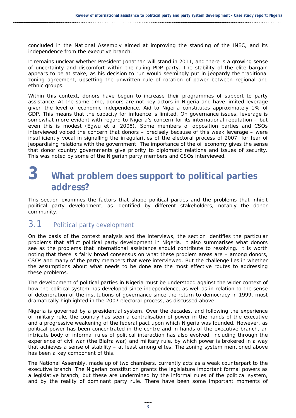concluded in the National Assembly aimed at improving the standing of the INEC, and its independence from the executive branch.

It remains unclear whether President Jonathan will stand in 2011, and there is a growing sense of uncertainty and discomfort within the ruling PDP party. The stability of the elite bargain appears to be at stake, as his decision to run would seemingly put in jeopardy the traditional zoning agreement, upsetting the unwritten rule of rotation of power between regional and ethnic groups.

Within this context, donors have begun to increase their programmes of support to party assistance. At the same time, donors are not key actors in Nigeria and have limited leverage given the level of economic independence. Aid to Nigeria constitutes approximately 1% of GDP. This means that the capacity for influence is limited. On governance issues, leverage is somewhat more evident with regard to Nigeria's concern for its international reputation – but even this is modest (Egwu et al 2008). Some members of opposition parties and CSOs interviewed voiced the concern that donors – precisely because of this weak leverage – were insufficiently vocal in signalling the irregularities of the electoral process of 2007, for fear of jeopardising relations with the government. The importance of the oil economy gives the sense that donor country governments give priority to diplomatic relations and issues of security. This was noted by some of the Nigerian party members and CSOs interviewed.

# **3 What problem does support to political parties address?**

This section examines the factors that shape political parties and the problems that inhibit political party development, as identified by different stakeholders, notably the donor community.

## 3.1 Political party development

On the basis of the context analysis and the interviews, the section identifies the particular problems that afflict political party development in Nigeria. It also summarises what donors see as the problems that international assistance should contribute to resolving. It is worth noting that there is fairly broad consensus on what these problem areas are – among donors, CSOs and many of the party members that were interviewed. But the challenge lies in whether the assumptions about what needs to be done are the most effective routes to addressing these problems.

The development of political parties in Nigeria must be understood against the wider context of how the political system has developed since independence, as well as in relation to the sense of deterioration of the institutions of governance since the return to democracy in 1999, most dramatically highlighted in the 2007 electoral process, as discussed above.

Nigeria is governed by a presidential system. Over the decades, and following the experience of military rule, the country has seen a centralisation of power in the hands of the executive and a progressive weakening of the federal pact upon which Nigeria was founded. However, as political power has been concentrated in the centre and in hands of the executive branch, an intricate body of informal rules of political interaction has also evolved, including through the experience of civil war (the Biafra war) and military rule, by which power is brokered in a way that achieves a sense of stability – at least among elites. The zoning system mentioned above has been a key component of this.

The National Assembly, made up of two chambers, currently acts as a weak counterpart to the executive branch. The Nigerian constitution grants the legislature important formal powers as a legislative branch, but these are undermined by the informal rules of the political system, and by the reality of dominant party rule. There have been some important moments of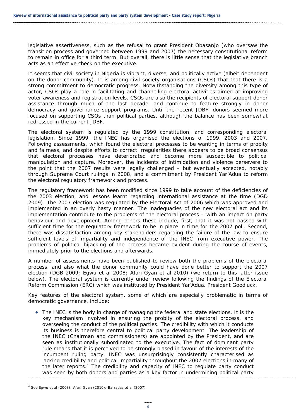legislative assertiveness, such as the refusal to grant President Obasanjo (who oversaw the transition process and governed between 1999 and 2007) the necessary constitutional reform to remain in office for a third term. But overall, there is little sense that the legislative branch acts as an effective check on the executive.

It seems that civil society in Nigeria is vibrant, diverse, and politically active (albeit dependent on the donor community). It is among civil society organisations (CSOs) that that there is a strong commitment to democratic progress. Notwithstanding the diversity among this type of actor, CSOs play a role in facilitating and channelling electoral activities aimed at improving voter awareness and registration levels. CSOs are also the recipients of electoral support donor assistance through much of the last decade, and continue to feature strongly in donor democracy and governance support programs. Until the recent JDBF, donors seemed more focused on supporting CSOs than political parties, although the balance has been somewhat redressed in the current JDBF.

The electoral system is regulated by the 1999 constitution, and corresponding electoral legislation. Since 1999, the INEC has organised the elections of 1999, 2003 and 2007. Following assessments, which found the electoral processes to be wanting in terms of probity and fairness, and despite efforts to correct irregularities there appears to be broad consensus that electoral processes have deteriorated and become more susceptible to political manipulation and capture. Moreover, the incidents of intimidation and violence persevere to the point that the 2007 results were legally challenged – but eventually accepted, notably through Supreme Court rulings in 2008, and a commitment by President Yar'Adua to reform the electoral regulatory framework and process.

The regulatory framework has been modified since 1999 to take account of the deficiencies of the 2003 election, and lessons learnt regarding international assistance at the time (DGD 2009). The 2007 election was regulated by the Electoral Act of 2006 which was approved and implemented in an overly hasty manner. The inadequacies of the new electoral act and its implementation contribute to the problems of the electoral process – with an impact on party behaviour and development. Among others these include, first, that it was not passed with sufficient time for the regulatory framework to be in place in time for the 2007 poll. Second, there was dissatisfaction among key stakeholders regarding the failure of the law to ensure sufficient levels of impartiality and independence of the INEC from executive power. The problems of political hijacking of the process became evident during the course of events, immediately prior to the elections and afterwards.

A number of assessments have been published to review both the problems of the electoral process, and also what the donor community could have done better to support the 2007 election (DGB 2009; Egwu et al 2008; Afari-Gyan et al 2010) (we return to this latter issue below). The electoral system is currently under review following the findings of the Electoral Reform Commission (ERC) which was instituted by President Yar'Adua. President Goodluck.

Key features of the electoral system, some of which are especially problematic in terms of democratic governance, include:

 The INEC is the body in charge of managing the federal and state elections. It is the key mechanism involved in ensuring the probity of the electoral process, and overseeing the conduct of the political parties. The credibility with which it conducts its business is therefore central to political party development. The leadership of the INEC (Chairman and commissioners) are appointed by the President, and are seen as institutionally subordinated to the executive. The fact of dominant party rule means that it is perceived to be strongly biased in favour of the interests of the incumbent ruling party. INEC was unsurprisingly consistently characterised as lacking credibility and political impartiality throughout the 2007 elections in many of the later reports.<sup>4</sup> The credibility and capacity of INEC to regulate party conduct was seen by both donors and parties as a key factor in undermining political party

 $4$  See Egwu et al (2008); Afari-Gyan (2010); Barradas et al (2007)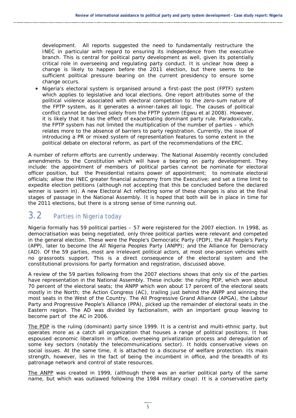development. All reports suggested the need to fundamentally restructure the INEC in particular with regard to ensuring its independence from the executive branch. This is central for political party development as well, given its potentially critical role in overseeing and regulating party conduct. It is unclear how deep a change is likely to happen before the 2011 election, but there seems to be sufficient political pressure bearing on the current presidency to ensure some change occurs.

 Nigeria's electoral system is organised around a first-past the post (FPTF) system which applies to legislative and local elections. One report attributes some of the political violence associated with electoral competition to the zero-sum nature of the FPTP system, as it generates a winner-takes all logic. The causes of political conflict cannot be derived solely from the FPTP system (Egwu et al 2008). However, it is likely that it has the effect of exacerbating dominant party rule. Paradoxically, the FPTP system has not limited the multiplication of the number of parties – which relates more to the absence of barriers to party registration. Currently, the issue of introducing a PR or mixed system of representation features to some extent in the political debate on electoral reform, as part of the recommendations of the ERC.

A number of reform efforts are currently underway. The National Assembly recently concluded amendments to the Constitution which will have a bearing on party development. They include: the appointment of members of political parties cannot be nominate for electoral officer position, but the Presidential retains power of appointment; to nominate electoral officials; allow the INEC greater financial autonomy from the Executive; and set a time limit to expedite election petitions (although not accepting that this be concluded before the declared winner is sworn in). A new Electoral Act reflecting some of these changes is also at the final stages of passage in the National Assembly. It is hoped that both will be in place in time for the 2011 elections, but there is a strong sense of time running out.

## 3.2 Parties in Nigeria today

Nigeria formally has 59 political parties – 57 were registered for the 2007 election. In 1998, as democratisation was being negotiated, only three political parties were relevant and competed in the general election. These were the People's Democratic Party (PDP), the All People's Party (APP), later to become the All Nigeria Peoples Party (ANPP); and the Alliance for Democracy (AD). Of the 59 parties, most are irrelevant political actors, at most one-person vehicles with no grassroots support. This is a direct consequence of the electoral system and the constitutional provisions for party formation and registration, discussed above.

A review of the 59 parties following from the 2007 elections shows that only six of the parties have representation in the National Assembly. These include: the ruling PDP, which won about 70 percent of the electoral seats; the ANPP which won about 17 percent of the electoral seats mostly in the North; the Action Congress (AC), trailing just behind the ANPP and winning the most seats in the West of the Country. The All Progressive Grand Alliance (APGA), the Labour Party and Progressive People's Alliance (PPA), picked up the remainder of electoral seats in the Eastern region. The AD was divided by factionalism, with an important group leaving to become part of the AC in 2006.

The PDP is the ruling (dominant) party since 1999. It is a centrist and multi-ethnic party, but operates more as a catch all organization that houses a range of political positions. It has espoused economic liberalism in office, overseeing privatization process and deregulation of some key sectors (notably the telecommunications sector). It holds conservative views on social issues. At the same time, it is attached to a discourse of welfare protection. Its main strength, however, lies in the fact of being the incumbent in office, and the breadth of its patronage network and control of state resources.

The ANPP was created in 1999, (although there was an earlier political party of the same name, but which was outlawed following the 1984 military coup). It is a conservative party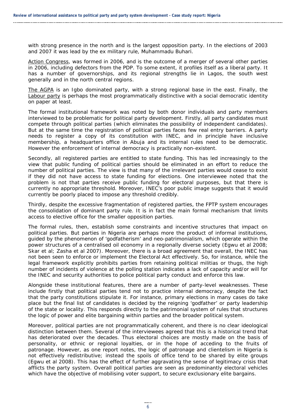with strong presence in the north and is the largest opposition party. In the elections of 2003 and 2007 it was lead by the ex military rule, Muhammadu Buhari.

Action Congress, was formed in 2006, and is the outcome of a merger of several other parties in 2006, including defectors from the PDP. To some extent, it profiles itself as a liberal party. It has a number of governorships, and its regional strengths lie in Lagos, the south west generally and in the north central regions.

The AGPA is an Igbo dominated party, with a strong regional base in the east. Finally, the Labour party is perhaps the most programmatically distinctive with a social democratic identity on paper at least.

The formal institutional framework was noted by both donor individuals and party members interviewed to be problematic for political party development. Firstly, all party candidates must compete through political parties (which eliminates the possibility of independent candidates). But at the same time the registration of political parties faces few real entry barriers. A party needs to register a copy of its constitution with INEC, and in principle have inclusive membership, a headquarters office in Abuja and its internal rules need to be democratic. However the enforcement of internal democracy is practically non-existent.

Secondly, all registered parties are entitled to state funding. This has led increasingly to the view that public funding of political parties should be eliminated in an effort to reduce the number of political parties. The view is that many of the irrelevant parties would cease to exist if they did not have access to state funding for elections. One interviewee noted that the problem is not that parties receive public funding for electoral purposes, but that there is currently no appropriate threshold. Moreover, INEC's poor public image suggests that it would currently be poorly placed to impose any threshold credibly.

Thirdly, despite the excessive fragmentation of registered parties, the FPTP system encourages the consolidation of dominant party rule. It is in fact the main formal mechanism that limits access to elective office for the smaller opposition parties.

The formal rules, then, establish some constraints and incentive structures that impact on political parties. But parties in Nigeria are perhaps more the product of informal institutions, guided by the phenomenon of 'godfatherism' and neo-patrimonialism, which operate within the power structures of a centralised oil economy in a regionally diverse society (Egwu et al 2008; Skar et al; Zasha et al 2007). Moreover, there is a broad agreement that overall, the INEC has not been seen to enforce or implement the Electoral Act effectively. So, for instance, while the legal framework explicitly prohibits parties from retaining political militias or thugs, the high number of incidents of violence at the polling station indicates a lack of capacity and/or will for the INEC and security authorities to police political party conduct and enforce this law.

Alongside these institutional features, there are a number of party-level weaknesses. These include firstly that political parties tend not to practice internal democracy, despite the fact that the party constitutions stipulate it. For instance, primary elections in many cases do take place but the final list of candidates is decided by the reigning 'godfather' or party leadership of the state or locality. This responds directly to the patrimonial system of rules that structures the logic of power and elite bargaining within parties and the broader political system.

Moreover, political parties are not programmatically coherent, and there is no clear ideological distinction between them. Several of the interviewees agreed that this is a historical trend that has deteriorated over the decades. Thus electoral choices are mostly made on the basis of personality, or ethnic or regional loyalties, or in the hope of acceding to the fruits of patronage. However, as one report notes, the logic of patronage and clientelism in Nigeria is not effectively redistributive; instead the spoils of office tend to be shared by elite groups (Egwu et al 2008). This has the effect of further aggravating the sense of legitimacy crisis that afflicts the party system. Overall political parties are seen as predominantly electoral vehicles which have the objective of mobilising voter support, to secure exclusionary elite bargains.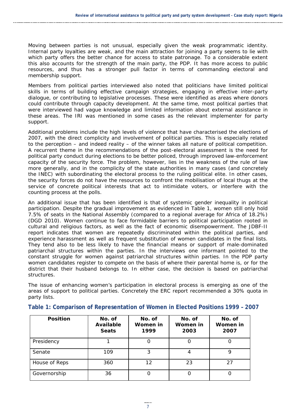Moving between parties is not unusual, especially given the weak programmatic identity. Internal party loyalties are weak, and the main attraction for joining a party seems to lie with which party offers the better chance for access to state patronage. To a considerable extent this also accounts for the strength of the main party, the PDP. It has more access to public resources, and thus has a stronger pull factor in terms of commanding electoral and membership support.

Members from political parties interviewed also noted that politicians have limited political skills in terms of building effective campaign strategies, engaging in effective inter-party dialogue, or contributing to legislative processes. These were identified as areas where donors could contribute through capacity development. At the same time, most political parties that were interviewed had vague knowledge and limited information about external assistance in these areas. The IRI was mentioned in some cases as the relevant implementer for party support.

Additional problems include the high levels of violence that have characterised the elections of 2007, with the direct complicity and involvement of political parties. This is especially related to the perception – and indeed reality – of the winner takes all nature of political competition. A recurrent theme in the recommendations of the post-electoral assessment is the need for political party conduct during elections to be better policed, through improved law-enforcement capacity of the security force. The problem, however, lies in the weakness of the rule of law more generally, and in the complicity of the state authorities in many cases (and concretely the INEC) with subordinating the electoral process to the ruling political elite. In other cases, the security forces do not have the resources to confront the mobilisation of local thugs at the service of concrete political interests that act to intimidate voters, or interfere with the counting process at the polls.

An additional issue that has been identified is that of systemic gender inequality in political participation. Despite the gradual improvement as evidenced in Table 1, women still only hold 7.5% of seats in the National Assembly (compared to a regional average for Africa of 18.2%) (DGD 2010). Women continue to face formidable barriers to political participation rooted in cultural and religious factors, as well as the fact of economic disempowerment. The JDBF-II report indicates that women are repeatedly discriminated within the political parties, and experience harassment as well as frequent substitution of women candidates in the final lists. They tend also to be less likely to have the financial means or support of male-dominated patriarchal structures within the parties. In the interviews one informant pointed to the constant struggle for women against patriarchal structures within parties. In the PDP party women candidates register to compete on the basis of where their parental home is, or for the district that their husband belongs to. In either case, the decision is based on patriarchal structures.

The issue of enhancing women's participation in electoral process is emerging as one of the areas of support to political parties. Concretely the ERC report recommended a 30% quota in party lists.

| <b>Position</b> | No. of<br><b>Available</b><br><b>Seats</b> | No. of<br>Women in<br>1999 | No. of<br>Women in<br>2003 | No. of<br>Women in<br>2007 |
|-----------------|--------------------------------------------|----------------------------|----------------------------|----------------------------|
| Presidency      |                                            |                            |                            |                            |
| Senate          | 109                                        | 3                          |                            | 9                          |
| House of Reps   | 360                                        | 12                         | 23                         | 27                         |
| Governorship    | 36                                         |                            | O                          | O                          |

**Table 1: Comparison of Representation of Women in Elected Positions 1999 – 2007**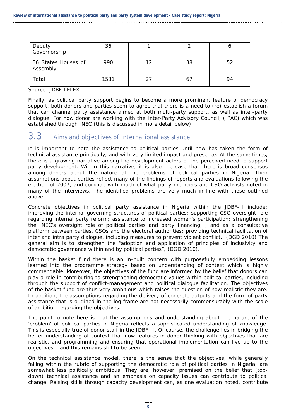| Deputy<br>Governorship          | 36   |    |    |    |
|---------------------------------|------|----|----|----|
| 36 States Houses of<br>Assembly | 990  | 12 | 38 | 52 |
| Total                           | 1531 | 27 |    | 94 |

Source: JDBF-LELEX

Finally, as political party support begins to become a more prominent feature of democracy support, both donors and parties seem to agree that there is a need to (re) establish a forum that can channel party assistance aimed at both multi-party support, as well as inter-party dialogue. For now donor are working with the Inter-Party Advisory Council, (IPAC) which was established through INEC (this is discussed in more detail below).

### $3.3$  Aims and objectives of international assistance

It is important to note the assistance to political parties until now has taken the form of technical assistance principally, and with very limited impact and presence. At the same times, there is a growing narrative among the development actors of the perceived need to support party development. Within this narrative, it is also the case that there is broad consensus among donors about the nature of the problems of political parties in Nigeria. Their assumptions about parties reflect many of the findings of reports and evaluations following the election of 2007, and coincide with much of what party members and CSO activists noted in many of the interviews. The identified problems are very much in line with those outlined above.

Concrete objectives in political party assistance in Nigeria within the JDBF-II include: improving the internal governing structures of political parties; supporting CSO oversight role regarding internal party reform; assistance to increased women's participation; strengthening the INEC's oversight role of political parties and party financing, , and as a consultative platform between parties, CSOs and the electoral authorities; providing technical facilitation of inter and intra party dialogue, including measures to prevent violent conflict. (DGD 2010) The general aim is to strengthen the "adoption and application of principles of inclusivity and democratic governance within and by political parties", (DGD 2010).

Within the basket fund there is an in-built concern with purposefully embedding lessons learned into the programme strategy based on understanding of context which is highly commendable. Moreover, the objectives of the fund are informed by the belief that donors can play a role in contributing to strengthening democratic values within political parties, including through the support of conflict-management and political dialogue facilitation. The objectives of the basket fund are thus very ambitious which raises the question of how realistic they are. In addition, the assumptions regarding the delivery of concrete outputs and the form of party assistance that is outlined in the log frame are not necessarily commensurably with the scale of ambition regarding the objectives.

The point to note here is that the assumptions and understanding about the nature of the 'problem' of political parties in Nigeria reflects a sophisticated understanding of knowledge. This is especially true of donor staff in the JDBF-II. Of course, the challenge lies in bridging the better understanding of context that now features in donor thinking with objectives that are realistic, and programming and ensuring that operational implementation can live up to the objectives – and this remains still to be seen.

On the technical assistance model, there is the sense that the objectives, while generally falling within the rubric of supporting the democratic role of political parties in Nigeria, are somewhat less politically ambitious. They are, however, premised on the belief that (topdown) technical assistance and an emphasis on capacity issues can contribute to political change. Raising skills through capacity development can, as one evaluation noted, contribute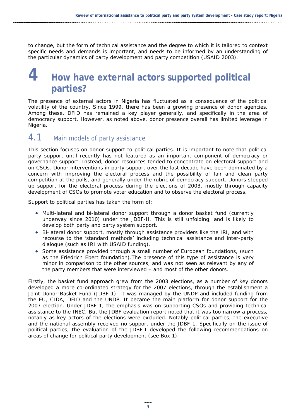to change, but the form of technical assistance and the degree to which it is tailored to context specific needs and demands is important, and needs to be informed by an understanding of the particular dynamics of party development and party competition (USAID 2003).

# **4 How have external actors supported political parties?**

The presence of external actors in Nigeria has fluctuated as a consequence of the political volatility of the country. Since 1999, there has been a growing presence of donor agencies. Among these, DFID has remained a key player generally, and specifically in the area of democracy support. However, as noted above, donor presence overall has limited leverage in Nigeria.

### 4.1 Main models of party assistance

This section focuses on donor support to political parties. It is important to note that political party support until recently has not featured as an important component of democracy or governance support. Instead, donor resources tended to concentrate on electoral support and on CSOs. Donor interventions in party support over the last decade have been dominated by a concern with improving the electoral process and the possibility of fair and clean party competition at the polls, and generally under the rubric of democracy support. Donors stepped up support for the electoral process during the elections of 2003, mostly through capacity development of CSOs to promote voter education and to observe the electoral process.

Support to political parties has taken the form of:

- Multi-lateral and bi-lateral donor support through a donor basket fund (currently underway since 2010) under the JDBF-II. This is still unfolding, and is likely to develop both party and party system support.
- Bi-lateral donor support, mostly through assistance providers like the IRI, and with recourse to the 'standard methods' including technical assistance and inter-party dialogue (such as IRI with USAID funding).
- Some assistance provided through a small number of European foundations, (such as the Friedrich Ebert foundation).The presence of this type of assistance is very minor in comparison to the other sources, and was not seen as relevant by any of the party members that were interviewed – and most of the other donors.

Firstly, the basket fund approach grew from the 2003 elections, as a number of key donors developed a more co-ordinated strategy for the 2007 elections, through the establishment a Joint Donor Basket Fund (JDBF-1). It was managed by the UNDP and included funding from the EU, CIDA, DFID and the UNDP. It became the main platform for donor support for the 2007 election. Under JDBF-1, the emphasis was on supporting CSOs and providing technical assistance to the INEC. But the JDBF evaluation report noted that it was too narrow a process, notably as key actors of the elections were excluded. Notably political parties, the executive and the national assembly received no support under the JDBF-1. Specifically on the issue of political parties, the evaluation of the JDBF-I developed the following recommendations on areas of change for political party development (see Box 1).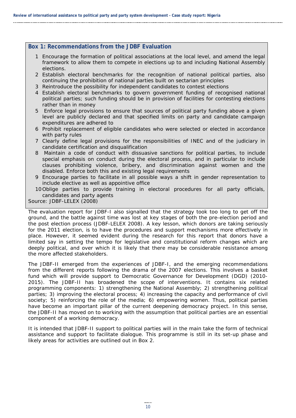#### **Box 1: Recommendations from the JDBF Evaluation**

- 1 Encourage the formation of political associations at the local level, and amend the legal framework to allow them to compete in elections up to and including National Assembly elections.
- 2 Establish electoral benchmarks for the recognition of national political parties, also continuing the prohibition of national parties built on sectarian principles
- 3 Reintroduce the possibility for independent candidates to contest elections
- 4 Establish electoral benchmarks to govern government funding of recognised national political parties; such funding should be in provision of facilities for contesting elections rather than in money
- 5 Enforce legal provisions to ensure that sources of political party funding above a given level are publicly declared and that specified limits on party and candidate campaign expenditures are adhered to
- 6 Prohibit replacement of eligible candidates who were selected or elected in accordance with party rules
- 7 Clearly define legal provisions for the responsibilities of INEC and of the judiciary in candidate certification and disqualification
- 8 Maintain a code of conduct with dissuasive sanctions for political parties, to include special emphasis on conduct during the electoral process, and in particular to include clauses prohibiting violence, bribery, and discrimination against women and the disabled. Enforce both this and existing legal requirements
- 9 Encourage parties to facilitate in all possible ways a shift in gender representation to include elective as well as appointive office
- 10Oblige parties to provide training in electoral procedures for all party officials, candidates and party agents

Source: JDBF-LELEX (2008)

The evaluation report for JDBF-I also signalled that the strategy took too long to get off the ground, and the battle against time was lost at key stages of both the pre-election period and the post election process (JDBF-LELEX 2008). A key lesson, which donors are taking seriously for the 2011 election, is to have the procedures and support mechanisms more effectively in place. However, it seemed evident during the research for this report that donors have a limited say in setting the tempo for legislative and constitutional reform changes which are deeply political, and over which it is likely that there may be considerable resistance among the more affected stakeholders.

The JDBF-II emerged from the experiences of JDBF-I, and the emerging recommendations from the different reports following the drama of the 2007 elections. This involves a basket fund which will provide support to Democratic Governance for Development (DGD) (2010- 2015). The JDBF-II has broadened the scope of interventions. It contains six related programming components: 1) strengthening the National Assembly; 2) strengthening political parties; 3) improving the electoral process; 4) increasing the capacity and performance of civil society; 5) reinforcing the role of the media; 6) empowering women. Thus, political parties have become an important pillar of the current deepening democracy project. In this sense, the JDBF-II has moved on to working with the assumption that political parties are an essential component of a working democracy.

It is intended that JDBF-II support to political parties will in the main take the form of technical assistance and support to facilitate dialogue. This programme is still in its set-up phase and likely areas for activities are outlined out in Box 2.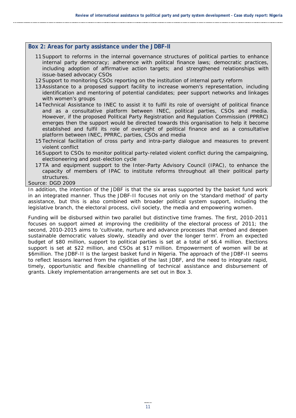#### **Box 2: Areas for party assistance under the JDBF-II**

- 11Support to reforms in the internal governance structures of political parties to enhance internal party democracy; adherence with political finance laws; democratic practices, including adoption of affirmative action targets; and strengthened relationships with issue-based advocacy CSOs
- 12Support to monitoring CSOs reporting on the institution of internal party reform
- 13Assistance to a proposed support facility to increase women's representation, including identification and mentoring of potential candidates; peer support networks and linkages with women's groups
- 14Technical Assistance to INEC to assist it to fulfil its role of oversight of political finance and as a consultative platform between INEC, political parties, CSOs and media. However, if the proposed Political Party Registration and Regulation Commission (PPRRC) emerges then the support would be directed towards this organisation to help it become established and fulfil its role of oversight of political finance and as a consultative platform between INEC, PPRRC, parties, CSOs and media
- 15Technical facilitation of cross party and intra-party dialogue and measures to prevent violent conflict
- 16Support to CSOs to monitor political party-related violent conflict during the campaigning, electioneering and post-election cycle
- 17TA and equipment support to the Inter-Party Advisory Council (IPAC), to enhance the capacity of members of IPAC to institute reforms throughout all their political party structures.

Source: DGD 2009

In addition, the intention of the JDBF is that the six areas supported by the basket fund work in an integrated manner. Thus the JDBF-II focuses not only on the 'standard method' of party assistance, but this is also combined with broader political system support, including the legislative branch, the electoral process, civil society, the media and empowering women.

Funding will be disbursed within two parallel but distinctive time frames. The first, 2010-2011 focuses on support aimed at improving the credibility of the electoral process of 2011; the second, 2010-2015 aims to 'cultivate, nurture and advance processes that embed and deepen sustainable democratic values slowly, steadily and over the longer term'. From an expected budget of \$80 million, support to political parties is set at a total of \$6.4 million. Elections support is set at \$22 million, and CSOs at \$17 million. Empowerment of women will be at \$6million. The JDBF-II is the largest basket fund in Nigeria. The approach of the JDBF-II seems to reflect lessons learned from the rigidities of the last JDBF, and the need to integrate rapid, timely, opportunistic and flexible channelling of technical assistance and disbursement of grants. Likely implementation arrangements are set out in Box 3.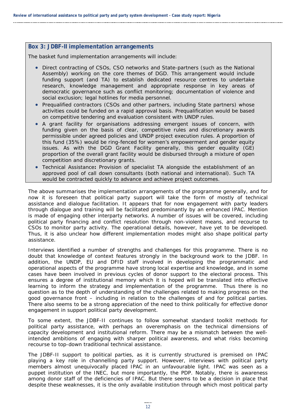#### **Box 3: JDBF-II implementation arrangements**

The basket fund implementation arrangements will include:

- Direct contracting of CSOs, CSO networks and State-partners (such as the National Assembly) working on the core themes of DGD. This arrangement would include funding support (and TA) to establish dedicated resource centres to undertake research, knowledge management and appropriate response in key areas of democratic governance such as conflict monitoring; documentation of violence and social exclusion; legal hotlines for media personnel.
- Prequalified contractors (CSOs and other partners, including State partners) whose activities could be funded on a rapid approval basis. Prequalification would be based on competitive tendering and evaluation consistent with UNDP rules.
- A grant facility for organisations addressing emergent issues of concern, with funding given on the basis of clear, competitive rules and discretionary awards permissible under agreed policies and UNDP project execution rules. A proportion of this fund (35%) would be ring-fenced for women's empowerment and gender equity issues. As with the DGD Grant Facility generally, this gender equality (GE) proportion of the overall grant facility would be disbursed through a mixture of open competition and discretionary grants.
- Technical Assistance**:** Provision of specialist TA alongside the establishment of an approved pool of call down consultants (both national and international). Such TA would be contracted quickly to advance and achieve project outcomes.

The above summarises the implementation arrangements of the programme generally, and for now it is foreseen that political party support will take the form of mostly of technical assistance and dialogue facilitation. It appears that for now engagement with party leaders through dialogue and training will be facilitated predominantly by an enhanced IPAC. Mention is made of engaging other interparty networks. A number of issues will be covered, including political party financing and conflict resolution through non-violent means, and recourse to CSOs to monitor party activity. The operational details, however, have yet to be developed. Thus, it is also unclear how different implementation modes might also shape political party assistance.

Interviews identified a number of strengths and challenges for this programme. There is no doubt that knowledge of context features strongly in the background work to the JDBF. In addition, the UNDP, EU and DFID staff involved in developing the programmatic and operational aspects of the programme have strong local expertise and knowledge, and in some cases have been involved in previous cycles of donor support to the electoral process. This ensures a degree of institutional memory which it is hoped will be translated into effective learning to inform the strategy and implementation of the programme. Thus there is no question as to the depth of understanding of the challenges related to making progress on the good governance front – including in relation to the challenges of and for political parties. There also seems to be a strong appreciation of the need to think politically for effective donor engagement in support political party development.

To some extent, the JDBF-II continues to follow somewhat standard toolkit methods for political party assistance, with perhaps an overemphasis on the technical dimensions of capacity development and institutional reform. There may be a mismatch between the wellintended ambitions of engaging with sharper political awareness, and what risks becoming recourse to top-down traditional technical assistance.

The JDBF-II support to political parties, as it is currently structured is premised on IPAC playing a key role in channelling party support. However, interviews with political party members almost unequivocally placed IPAC in an unfavourable light. IPAC was seen as a puppet institution of the INEC, but more importantly, the PDP. Notably, there is awareness among donor staff of the deficiencies of IPAC. But there seems to be a decision in place that despite these weaknesses, it is the only available institution through which most political party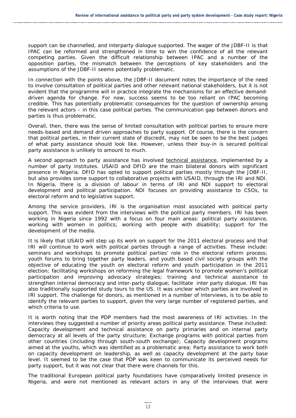support can be channelled, and interparty dialogue supported. The wager of the JDBF-II is that IPAC can be reformed and strengthened in time to win the confidence of all the relevant competing parties. Given the difficult relationship between IPAC and a number of the opposition parties, the mismatch between the perceptions of key stakeholders and the assumptions of the JDBF-II seems potentially problematic.

In connection with the points above, the JDBF-II document notes the importance of the need to involve consultation of political parties and other relevant national stakeholders, but it is not evident that the programme will in practice integrate the mechanisms for an effective demanddriven agenda for change. For now, success seems to be too reliant on IPAC becoming credible. This has potentially problematic consequences for the question of ownership among the relevant actors – in this case political parties. The communication gap between donors and parties is thus problematic.

Overall, then, there was the sense of limited consultation with political parties to ensure more needs-based and demand driven approaches to party support. Of course, there is the concern that political parties, in their current state of discredit, may not be seen to be the best judges of what party assistance should look like. However, unless their buy-in is secured political party assistance is unlikely to amount to much.

A second approach to party assistance has involved technical assistance, implemented by a number of party institutes. USAID and DFID are the main bilateral donors with significant presence in Nigeria. DFID has opted to support political parties mostly through the JDBF-II, but also provides some support to collaborative projects with USAID, through the IRI and NDI. In Nigeria, there is a division of labour in terms of IRI and NDI support to electoral development and political participation. NDI focuses on providing assistance to CSOs, to electoral reform and to legislative support.

Among the service providers, IRI is the organisation most associated with political party support. This was evident from the interviews with the political party members. IRI has been working in Nigeria since 1992 with a focus on four main areas: political party assistance, working with women in politics; working with people with disability; support for the development of the media.

It is likely that USAID will step up its work on support for the 2011 electoral process and that IRI will continue to work with political parties through a range of activities. These include: seminars and workshops to promote political parties' role in the electoral reform process; youth forums to bring together party leaders, and youth based civil society groups with the objective of educating the youth on electoral reform and youth participation in the 2011 election; facilitating workshops on reforming the legal framework to promote women's political participation and improving advocacy strategies; training and technical assistance to strengthen internal democracy and inter-party dialogue; facilitate inter party dialogue. IRI has also traditionally supported study tours to the US. It was unclear which parties are involved in IRI support. The challenge for donors, as mentioned in a number of interviews, is to be able to identify the relevant parties to support, given the very large number of registered parties, and which criteria to use.

It is worth noting that the PDP members had the most awareness of IRI activities. In the interviews they suggested a number of priority areas political party assistance. These included: Capacity development and technical assistance on party primaries and on internal party democracy at all levels of the party structure; Exchange programs with political parties from other countries (including through south-south exchange); Capacity development programs aimed at the youths, which was identified as a problematic area; Party assistance to work both on capacity development on leadership, as well as capacity development at the party base level. It seemed to be the case that PDP was keen to communicate its perceived needs for party support, but it was not clear that there were channels for this.

The traditional European political party foundations have comparatively limited presence in Nigeria, and were not mentioned as relevant actors in any of the interviews that were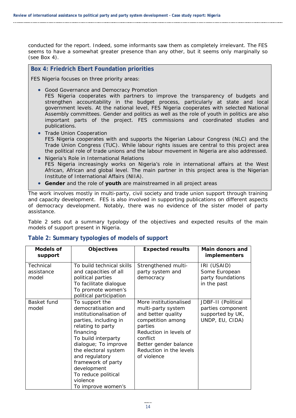conducted for the report. Indeed, some informants saw them as completely irrelevant. The FES seems to have a somewhat greater presence than any other, but it seems only marginally so (see Box 4).

#### **Box 4: Friedrich Ebert Foundation priorities**

FES Nigeria focuses on three priority areas:

• Good Governance and Democracy Promotion

 FES Nigeria cooperates with partners to improve the transparency of budgets and strengthen accountability in the budget process, particularly at state and local government levels. At the national level, FES Nigeria cooperates with selected National Assembly committees. Gender and politics as well as the role of youth in politics are also important parts of the project. FES commissions and coordinated studies and publications.

- Trade Union Cooperation FES Nigeria cooperates with and supports the Nigerian Labour Congress (NLC) and the Trade Union Congress (TUC). While labour rights issues are central to this project area the political role of trade unions and the labour movement in Nigeria are also addressed.
- Nigeria's Role in International Relations FES Nigeria increasingly works on Nigeria's role in international affairs at the West African, African and global level. The main partner in this project area is the Nigerian Institute of International Affairs (NIIA).
- **Gender** and the role of **youth** are mainstreamed in all project areas

The work involves mostly in multi-party, civil society and trade union support through training and capacity development. FES is also involved in supporting publications on different aspects of democracy development. Notably, there was no evidence of the sister model of party assistance.

Table 2 sets out a summary typology of the objectives and expected results of the main models of support present in Nigeria.

| <b>Models of</b><br>support      | <b>Objectives</b>                                                                                                                                                                                                                                                                                                  | <b>Expected results</b>                                                                                                                                                                                     | <b>Main donors and</b><br><i>implementers</i>                                  |
|----------------------------------|--------------------------------------------------------------------------------------------------------------------------------------------------------------------------------------------------------------------------------------------------------------------------------------------------------------------|-------------------------------------------------------------------------------------------------------------------------------------------------------------------------------------------------------------|--------------------------------------------------------------------------------|
| Technical<br>assistance<br>model | To build technical skills<br>and capacities of all<br>political parties<br>To facilitate dialogue<br>To promote women's<br>political participation                                                                                                                                                                 | Strengthened multi-<br>party system and<br>democracy                                                                                                                                                        | IRI (USAID)<br>Some European<br>party foundations<br>in the past               |
| Basket fund<br>model             | To support the<br>democratisation and<br>institutionalisation of<br>parties, including in<br>relating to party<br>financing<br>To build interparty<br>dialogue; To improve<br>the electoral system<br>and regulatory<br>framework of party<br>development<br>To reduce political<br>violence<br>To improve women's | More institutionalised<br>multi-party system<br>and better quality<br>competition among<br>parties<br>Reduction in levels of<br>conflict<br>Better gender balance<br>Reduction in the levels<br>of violence | JDBF-II (Political<br>parties component<br>supported by UK,<br>UNDP, EU, CIDA) |

### **Table 2: Summary typologies of models of support**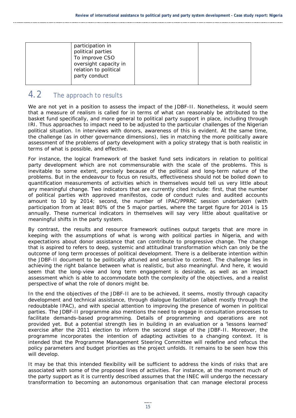| participation in<br>political parties<br>To improve CSO<br>oversight capacity in<br>relation to political |  |
|-----------------------------------------------------------------------------------------------------------|--|
| party conduct                                                                                             |  |

## 4.2 The approach to results

We are not yet in a position to assess the impact of the JDBF-II. Nonetheless, it would seem that a measure of realism is called for in terms of what can reasonably be attributed to the basket fund specifically, and more general to political party support in place, including through IRI. Thus approaches to impact need to be adjusted to the particular challenges of the Nigerian political situation. In interviews with donors, awareness of this is evident. At the same time, the challenge (as in other governance dimensions), lies in matching the more politically aware assessment of the problems of party development with a policy strategy that is both realistic in terms of what is possible, and effective.

For instance, the logical framework of the basket fund sets indicators in relation to political party development which are not commensurable with the scale of the problems. This is inevitable to some extent, precisely because of the political and long-term nature of the problems. But in the endeavour to focus on results, effectiveness should not be boiled down to quantification measurements of activities which in themselves would tell us very little about any meaningful change. Two indicators that are currently cited include: first, that the number of political parties with approved manifestos, code of conduct rules and audited accounts amount to 10 by 2014; second, the number of IPAC/PPRRC session undertaken (with participation from at least 80% of the 5 major parties, where the target figure for 2014 is 15 annually. These numerical indicators in themselves will say very little about qualitative or meaningful shifts in the party system.

By contrast, the results and resource framework outlines output targets that are more in keeping with the assumptions of what is wrong with political parties in Nigeria, and with expectations about donor assistance that can contribute to progressive change. The change that is aspired to refers to deep, systemic and attitudinal transformation which can only be the outcome of long term processes of political development. There is a deliberate intention within the JDBF-II document to be politically attuned and sensitive to context. The challenge lies in achieving the right balance between what is realistic, but also meaningful. And here, it would seem that the long-view and long term engagement is desirable, as well as an impact assessment which is able to accommodate both the complexity of the objectives, and a realist perspective of what the role of donors might be.

In the end the objectives of the JDBF-II are to be achieved, it seems, mostly through capacity development and technical assistance, through dialogue facilitation (albeit mostly through the redoubtable IPAC), and with special attention to improving the presence of women in political parties. The JDBF-II programme also mentions the need to engage in consultation processes to facilitate demands-based programming. Details of programming and operations are not provided yet. But a potential strength lies in building in an evaluation or a 'lessons learned' exercise after the 2011 election to inform the second stage of the JDBF-II. Moreover, the programme incorporates the intention of adapting activities to a changing context. It is intended that the Programme Management Steering Committee will redefine and refocus the policy parameters and budget priorities as the project unfolds. It remains to be seen how this will develop.

It may be that this intended flexibility will be sufficient to address the kinds of risks that are associated with some of the proposed lines of activities. For instance, at the moment much of the party support as it is currently described assumes that the INEC will undergo the necessary transformation to becoming an autonomous organisation that can manage electoral process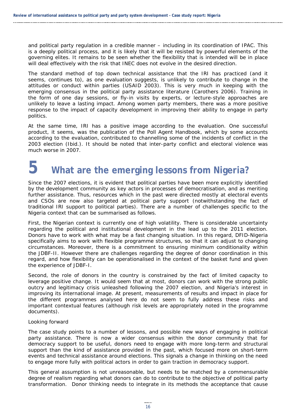and political party regulation in a credible manner – including in its coordination of IPAC. This is a deeply political process, and it is likely that it will be resisted by powerful elements of the governing elites. It remains to be seen whether the flexibility that is intended will be in place will deal effectively with the risk that INEC does not evolve in the desired direction.

The standard method of top down technical assistance that the IRI has practiced (and it seems, continues to), as one evaluation suggests, is unlikely to contribute to change in the attitudes or conduct within parties (USAID 2003). This is very much in keeping with the emerging consensus in the political party assistance literature (Carothers 2006). Training in the form of one day sessions, or fly-in visits by experts, or lecture-style approaches are unlikely to leave a lasting impact. Among women party members, there was a more positive response to the impact of capacity development in improving their ability to engage in party politics.

At the same time, IRI has a positive image according to the evaluation. One successful product, it seems, was the publication of the Poll Agent Handbook, which by some accounts according to the evaluation, contributed to channelling some of the incidents of conflict in the 2003 election (Ibid.). It should be noted that inter-party conflict and electoral violence was much worse in 2007.

# **5 What are the emerging lessons from Nigeria?**

Since the 2007 elections, it is evident that political parties have been more explicitly identified by the development community as key actors in processes of democratisation, and as meriting further assistance. Thus, resources which in the past were directed mostly at electoral events and CSOs are now also targeted at political party support (notwithstanding the fact of traditional IRI support to political parties). There are a number of challenges specific to the Nigeria context that can be summarised as follows.

First, the Nigerian context is currently one of high volatility. There is considerable uncertainty regarding the political and institutional development in the lead up to the 2011 election. Donors have to work with what may be a fast changing situation. In this regard, DFID-Nigeria specifically aims to work with flexible programme structures, so that it can adjust to changing circumstances. Moreover, there is a commitment to ensuring minimum conditionality within the JDBF-II. However there are challenges regarding the degree of donor coordination in this regard, and how flexibility can be operationalised in the context of the basket fund and given the experience of JDBF-I.

Second, the role of donors in the country is constrained by the fact of limited capacity to leverage positive change. It would seem that at most, donors can work with the strong public outcry and legitimacy crisis unleashed following the 2007 election, and Nigeria's interest in improving its international image. At present, measurements of results and impact in place for the different programmes analysed here do not seem to fully address these risks and important contextual features (although risk levels are appropriately noted in the programme documents).

#### *Looking forward*

The case study points to a number of lessons, and possible new ways of engaging in political party assistance. There is now a wider consensus within the donor community that for democracy support to be useful, donors need to engage with more long-term and structural support than the kind of assistance provided in the past, which focused more on short-term events and technical assistance around elections. This signals a change in thinking on the need to engage more fully with political actors in order to gain traction in democracy support.

This general assumption is not unreasonable, but needs to be matched by a commensurable degree of realism regarding what donors can do to contribute to the objective of political party transformation. Donor thinking needs to integrate in its methods the acceptance that cause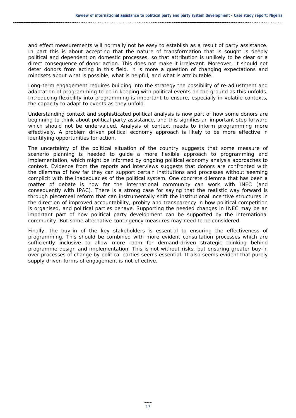and effect measurements will normally not be easy to establish as a result of party assistance. In part this is about accepting that the nature of transformation that is sought is deeply political and dependent on domestic processes, so that attribution is unlikely to be clear or a direct consequence of donor action. This does not make it irrelevant. Moreover, it should not deter donors from acting in this field. It is more a question of changing expectations and mindsets about what is possible, what is helpful, and what is attributable.

Long-term engagement requires building into the strategy the possibility of re-adjustment and adaptation of programming to be in keeping with political events on the ground as this unfolds. Introducing flexibility into programming is important to ensure, especially in volatile contexts, the capacity to adapt to events as they unfold.

Understanding context and sophisticated political analysis is now part of how some donors are beginning to think about political party assistance, and this signifies an important step forward which should not be undervalued. Analysis of context needs to inform programming more effectively. A problem driven political economy approach is likely to be more effective in identifying opportunities for action.

The uncertainty of the political situation of the country suggests that some measure of scenario planning is needed to guide a more flexible approach to programming and implementation, which might be informed by ongoing political economy analysis approaches to context. Evidence from the reports and interviews suggests that donors are confronted with the dilemma of how far they can support certain institutions and processes without seeming complicit with the inadequacies of the political system. One concrete dilemma that has been a matter of debate is how far the international community can work with INEC (and consequently with IPAC). There is a strong case for saying that the realistic way forward is through piecemeal reform that can instrumentally shift the institutional incentive structures in the direction of improved accountability, probity and transparency in how political competition is organised, and political parties behave. Supporting the needed changes in INEC may be an important part of how political party development can be supported by the international community. But some alternative contingency measures may need to be considered.

Finally, the buy-in of the key stakeholders is essential to ensuring the effectiveness of programming. This should be combined with more evident consultation processes which are sufficiently inclusive to allow more room for demand-driven strategic thinking behind programme design and implementation. This is not without risks, but ensuring greater buy-in over processes of change by political parties seems essential. It also seems evident that purely supply driven forms of engagement is not effective.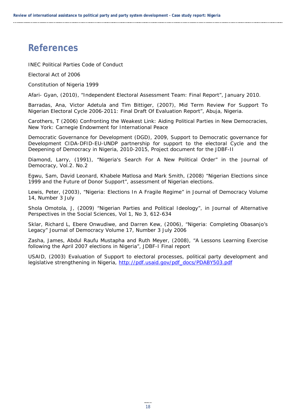## **References**

INEC Political Parties Code of Conduct

Electoral Act of 2006

Constitution of Nigeria 1999

Afari- Gyan, (2010), "Independent Electoral Assessment Team: Final Report", January 2010.

Barradas, Ana, Victor Adetula and Tim Bittiger, (2007), Mid Term Review For Support To Nigerian Electoral Cycle 2006-2011: Final Draft Of Evaluation Report", Abuja, Nigeria.

Carothers, T (2006) Confronting the Weakest Link: Aiding Political Parties in New Democracies, New York: Carnegie Endowment for International Peace

Democratic Governance for Development (DGD), 2009, Support to Democratic governance for Development CIDA-DFID-EU-UNDP partnership for support to the electoral Cycle and the Deepening of Democracy in Nigeria, 2010-2015*,* Project document for the JDBF-II

Diamond, Larry, (1991), "Nigeria's Search For A New Political Order" in the Journal of Democracy, Vol.2. No.2

Egwu, Sam, David Leonard, Khabele Matlosa and Mark Smith, (2008) "Nigerian Elections since 1999 and the Future of Donor Support", assessment of Nigerian elections.

Lewis, Peter, (2003), "Nigeria: Elections In A Fragile Regime" in Journal of Democracy Volume 14, Number 3 July

Shola Omotola, J, (2009) "Nigerian Parties and Political Ideology", in Journal of Alternative Perspectives in the Social Sciences*,* Vol 1, No 3, 612-634

Sklar, Richard L, Ebere Onwudiwe, and Darren Kew, (2006), "Nigeria: Completing Obasanjo's Legacy" Journal of Democracy Volume 17, Number 3 July 2006

Zasha, James, Abdul Raufu Mustapha and Ruth Meyer, (2008), "A Lessons Learning Exercise following the April 2007 elections in Nigeria", JDBF-I Final report

USAID, (2003) Evaluation of Support to electoral processes, political party development and legislative strengthening in Nigeria, http://pdf.usaid.gov/pdf\_docs/PDABY503.pdf